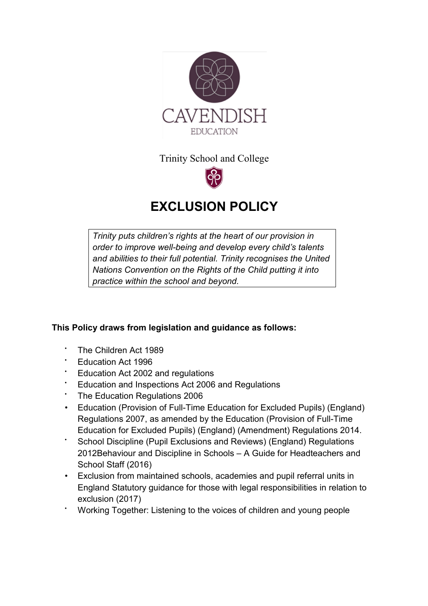

Trinity School and College



# **EXCLUSION POLICY**

*Trinity puts children's rights at the heart of our provision in order to improve well-being and develop every child's talents and abilities to their full potential. Trinity recognises the United Nations Convention on the Rights of the Child putting it into practice within the school and beyond.* 

## **This Policy draws from legislation and guidance as follows:**

- The Children Act 1989
- Education Act 1996
- Education Act 2002 and regulations
- Education and Inspections Act 2006 and Regulations
- The Education Regulations 2006
- Education (Provision of Full-Time Education for Excluded Pupils) (England) Regulations 2007, as amended by the Education (Provision of Full-Time Education for Excluded Pupils) (England) (Amendment) Regulations 2014.
- School Discipline (Pupil Exclusions and Reviews) (England) Regulations 2012Behaviour and Discipline in Schools – A Guide for Headteachers and School Staff (2016)
- Exclusion from maintained schools, academies and pupil referral units in England Statutory guidance for those with legal responsibilities in relation to exclusion (2017)
- Working Together: Listening to the voices of children and young people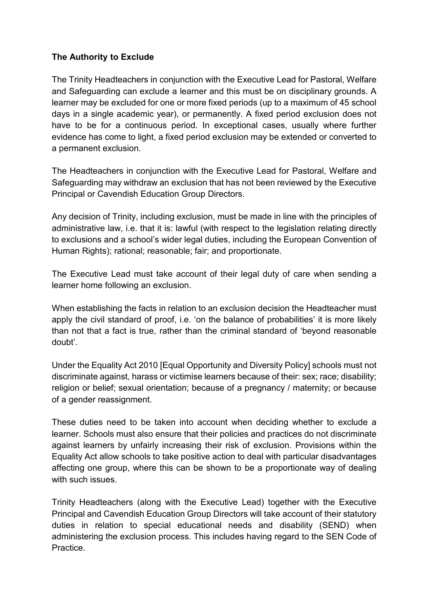## **The Authority to Exclude**

The Trinity Headteachers in conjunction with the Executive Lead for Pastoral, Welfare and Safeguarding can exclude a learner and this must be on disciplinary grounds. A learner may be excluded for one or more fixed periods (up to a maximum of 45 school days in a single academic year), or permanently. A fixed period exclusion does not have to be for a continuous period. In exceptional cases, usually where further evidence has come to light, a fixed period exclusion may be extended or converted to a permanent exclusion.

The Headteachers in conjunction with the Executive Lead for Pastoral, Welfare and Safeguarding may withdraw an exclusion that has not been reviewed by the Executive Principal or Cavendish Education Group Directors.

Any decision of Trinity, including exclusion, must be made in line with the principles of administrative law, i.e. that it is: lawful (with respect to the legislation relating directly to exclusions and a school's wider legal duties, including the European Convention of Human Rights); rational; reasonable; fair; and proportionate.

The Executive Lead must take account of their legal duty of care when sending a learner home following an exclusion.

When establishing the facts in relation to an exclusion decision the Headteacher must apply the civil standard of proof, i.e. 'on the balance of probabilities' it is more likely than not that a fact is true, rather than the criminal standard of 'beyond reasonable doubt'.

Under the Equality Act 2010 [Equal Opportunity and Diversity Policy] schools must not discriminate against, harass or victimise learners because of their: sex; race; disability; religion or belief; sexual orientation; because of a pregnancy / maternity; or because of a gender reassignment.

These duties need to be taken into account when deciding whether to exclude a learner. Schools must also ensure that their policies and practices do not discriminate against learners by unfairly increasing their risk of exclusion. Provisions within the Equality Act allow schools to take positive action to deal with particular disadvantages affecting one group, where this can be shown to be a proportionate way of dealing with such issues.

Trinity Headteachers (along with the Executive Lead) together with the Executive Principal and Cavendish Education Group Directors will take account of their statutory duties in relation to special educational needs and disability (SEND) when administering the exclusion process. This includes having regard to the SEN Code of Practice.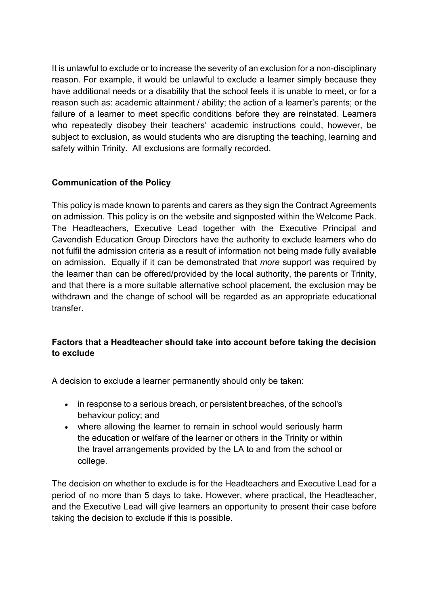It is unlawful to exclude or to increase the severity of an exclusion for a non-disciplinary reason. For example, it would be unlawful to exclude a learner simply because they have additional needs or a disability that the school feels it is unable to meet, or for a reason such as: academic attainment / ability; the action of a learner's parents; or the failure of a learner to meet specific conditions before they are reinstated. Learners who repeatedly disobey their teachers' academic instructions could, however, be subject to exclusion, as would students who are disrupting the teaching, learning and safety within Trinity. All exclusions are formally recorded.

## **Communication of the Policy**

This policy is made known to parents and carers as they sign the Contract Agreements on admission. This policy is on the website and signposted within the Welcome Pack. The Headteachers, Executive Lead together with the Executive Principal and Cavendish Education Group Directors have the authority to exclude learners who do not fulfil the admission criteria as a result of information not being made fully available on admission. Equally if it can be demonstrated that *more* support was required by the learner than can be offered/provided by the local authority, the parents or Trinity, and that there is a more suitable alternative school placement, the exclusion may be withdrawn and the change of school will be regarded as an appropriate educational transfer.

## **Factors that a Headteacher should take into account before taking the decision to exclude**

A decision to exclude a learner permanently should only be taken:

- in response to a serious breach, or persistent breaches, of the school's behaviour policy; and
- where allowing the learner to remain in school would seriously harm the education or welfare of the learner or others in the Trinity or within the travel arrangements provided by the LA to and from the school or college.

The decision on whether to exclude is for the Headteachers and Executive Lead for a period of no more than 5 days to take. However, where practical, the Headteacher, and the Executive Lead will give learners an opportunity to present their case before taking the decision to exclude if this is possible.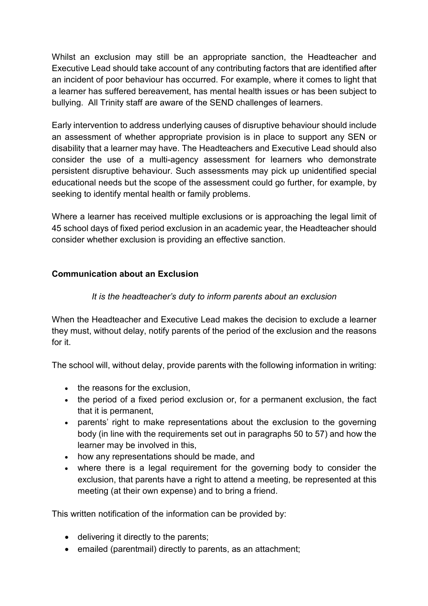Whilst an exclusion may still be an appropriate sanction, the Headteacher and Executive Lead should take account of any contributing factors that are identified after an incident of poor behaviour has occurred. For example, where it comes to light that a learner has suffered bereavement, has mental health issues or has been subject to bullying. All Trinity staff are aware of the SEND challenges of learners.

Early intervention to address underlying causes of disruptive behaviour should include an assessment of whether appropriate provision is in place to support any SEN or disability that a learner may have. The Headteachers and Executive Lead should also consider the use of a multi-agency assessment for learners who demonstrate persistent disruptive behaviour. Such assessments may pick up unidentified special educational needs but the scope of the assessment could go further, for example, by seeking to identify mental health or family problems.

Where a learner has received multiple exclusions or is approaching the legal limit of 45 school days of fixed period exclusion in an academic year, the Headteacher should consider whether exclusion is providing an effective sanction.

## **Communication about an Exclusion**

## *It is the headteacher's duty to inform parents about an exclusion*

When the Headteacher and Executive Lead makes the decision to exclude a learner they must, without delay, notify parents of the period of the exclusion and the reasons for it.

The school will, without delay, provide parents with the following information in writing:

- the reasons for the exclusion,
- the period of a fixed period exclusion or, for a permanent exclusion, the fact that it is permanent,
- parents' right to make representations about the exclusion to the governing body (in line with the requirements set out in paragraphs 50 to 57) and how the learner may be involved in this,
- how any representations should be made, and
- where there is a legal requirement for the governing body to consider the exclusion, that parents have a right to attend a meeting, be represented at this meeting (at their own expense) and to bring a friend.

This written notification of the information can be provided by:

- delivering it directly to the parents;
- emailed (parentmail) directly to parents, as an attachment;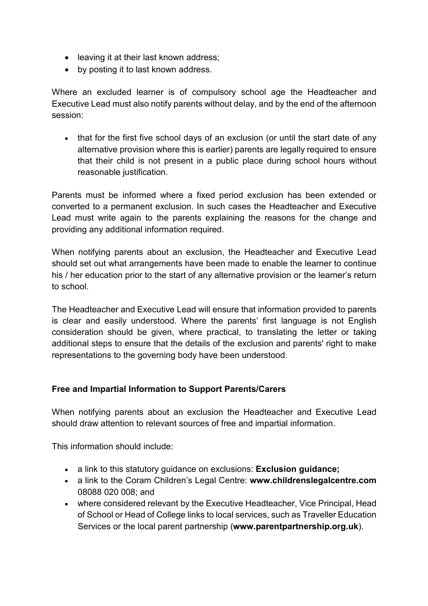- leaving it at their last known address;
- by posting it to last known address.

Where an excluded learner is of compulsory school age the Headteacher and Executive Lead must also notify parents without delay, and by the end of the afternoon session:

• that for the first five school days of an exclusion (or until the start date of any alternative provision where this is earlier) parents are legally required to ensure that their child is not present in a public place during school hours without reasonable justification.

Parents must be informed where a fixed period exclusion has been extended or converted to a permanent exclusion. In such cases the Headteacher and Executive Lead must write again to the parents explaining the reasons for the change and providing any additional information required.

When notifying parents about an exclusion, the Headteacher and Executive Lead should set out what arrangements have been made to enable the learner to continue his / her education prior to the start of any alternative provision or the learner's return to school.

The Headteacher and Executive Lead will ensure that information provided to parents is clear and easily understood. Where the parents' first language is not English consideration should be given, where practical, to translating the letter or taking additional steps to ensure that the details of the exclusion and parents' right to make representations to the governing body have been understood.

### **Free and Impartial Information to Support Parents/Carers**

When notifying parents about an exclusion the Headteacher and Executive Lead should draw attention to relevant sources of free and impartial information.

This information should include:

- a link to this statutory guidance on exclusions: **Exclusion guidance;**
- a link to the Coram Children's Legal Centre: **www.childrenslegalcentre.com** 08088 020 008; and
- where considered relevant by the Executive Headteacher, Vice Principal, Head of School or Head of College links to local services, such as Traveller Education Services or the local parent partnership (**www.parentpartnership.org.uk**).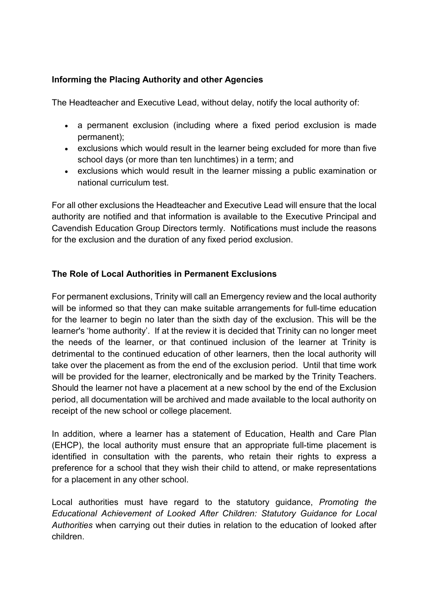## **Informing the Placing Authority and other Agencies**

The Headteacher and Executive Lead, without delay, notify the local authority of:

- a permanent exclusion (including where a fixed period exclusion is made permanent);
- exclusions which would result in the learner being excluded for more than five school days (or more than ten lunchtimes) in a term; and
- exclusions which would result in the learner missing a public examination or national curriculum test.

For all other exclusions the Headteacher and Executive Lead will ensure that the local authority are notified and that information is available to the Executive Principal and Cavendish Education Group Directors termly. Notifications must include the reasons for the exclusion and the duration of any fixed period exclusion.

## **The Role of Local Authorities in Permanent Exclusions**

For permanent exclusions, Trinity will call an Emergency review and the local authority will be informed so that they can make suitable arrangements for full-time education for the learner to begin no later than the sixth day of the exclusion. This will be the learner's 'home authority'. If at the review it is decided that Trinity can no longer meet the needs of the learner, or that continued inclusion of the learner at Trinity is detrimental to the continued education of other learners, then the local authority will take over the placement as from the end of the exclusion period. Until that time work will be provided for the learner, electronically and be marked by the Trinity Teachers. Should the learner not have a placement at a new school by the end of the Exclusion period, all documentation will be archived and made available to the local authority on receipt of the new school or college placement.

In addition, where a learner has a statement of Education, Health and Care Plan (EHCP), the local authority must ensure that an appropriate full-time placement is identified in consultation with the parents, who retain their rights to express a preference for a school that they wish their child to attend, or make representations for a placement in any other school.

Local authorities must have regard to the statutory guidance, *Promoting the Educational Achievement of Looked After Children: Statutory Guidance for Local Authorities* when carrying out their duties in relation to the education of looked after children.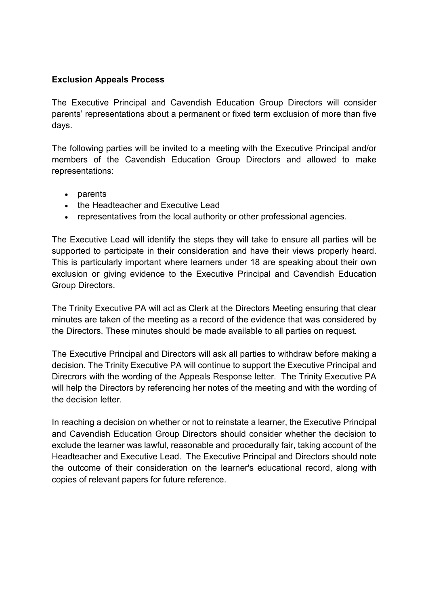### **Exclusion Appeals Process**

The Executive Principal and Cavendish Education Group Directors will consider parents' representations about a permanent or fixed term exclusion of more than five days.

The following parties will be invited to a meeting with the Executive Principal and/or members of the Cavendish Education Group Directors and allowed to make representations:

- parents
- the Headteacher and Executive Lead
- representatives from the local authority or other professional agencies.

The Executive Lead will identify the steps they will take to ensure all parties will be supported to participate in their consideration and have their views properly heard. This is particularly important where learners under 18 are speaking about their own exclusion or giving evidence to the Executive Principal and Cavendish Education Group Directors.

The Trinity Executive PA will act as Clerk at the Directors Meeting ensuring that clear minutes are taken of the meeting as a record of the evidence that was considered by the Directors. These minutes should be made available to all parties on request.

The Executive Principal and Directors will ask all parties to withdraw before making a decision. The Trinity Executive PA will continue to support the Executive Principal and Direcrors with the wording of the Appeals Response letter. The Trinity Executive PA will help the Directors by referencing her notes of the meeting and with the wording of the decision letter.

In reaching a decision on whether or not to reinstate a learner, the Executive Principal and Cavendish Education Group Directors should consider whether the decision to exclude the learner was lawful, reasonable and procedurally fair, taking account of the Headteacher and Executive Lead. The Executive Principal and Directors should note the outcome of their consideration on the learner's educational record, along with copies of relevant papers for future reference.